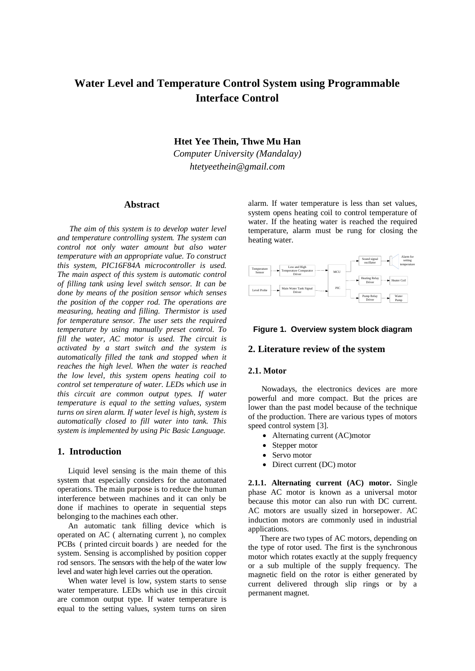# **Water Level and Temperature Control System using Programmable Interface Control**

**Htet Yee Thein, Thwe Mu Han**

*Computer University (Mandalay) [htetyeethein@gmail.com](mailto:htetyeethein@gmail.com)*

# **Abstract**

*The aim of this system is to develop water level and temperature controlling system. The system can control not only water amount but also water temperature with an appropriate value. To construct this system, PIC16F84A microcontroller is used. The main aspect of this system is automatic control of filling tank using level switch sensor. It can be done by means of the position sensor which senses the position of the copper rod. The operations are measuring, heating and filling. Thermistor is used for temperature sensor. The user sets the required temperature by using manually preset control. To fill the water, AC motor is used. The circuit is activated by a start switch and the system is automatically filled the tank and stopped when it reaches the high level. When the water is reached the low level, this system opens heating coil to control set temperature of water. LEDs which use in this circuit are common output types. If water temperature is equal to the setting values, system turns on siren alarm. If water level is high, system is automatically closed to fill water into tank. This system is implemented by using Pic Basic Language.* 

# **1. Introduction**

Liquid level sensing is the main theme of this system that especially considers for the automated operations. The main purpose is to reduce the human interference between machines and it can only be done if machines to operate in sequential steps belonging to the machines each other.

An automatic tank filling device which is operated on AC ( alternating current ), no complex PCBs ( printed circuit boards ) are needed for the system. Sensing is accomplished by position copper rod sensors. The sensors with the help of the water low level and water high level carries out the operation.

When water level is low, system starts to sense water temperature. LEDs which use in this circuit are common output type. If water temperature is equal to the setting values, system turns on siren

alarm. If water temperature is less than set values, system opens heating coil to control temperature of water. If the heating water is reached the required temperature, alarm must be rung for closing the heating water.



#### **Figure 1. Overview system block diagram**

# **2. Literature review of the system**

# **2.1. Motor**

Nowadays, the electronics devices are more powerful and more compact. But the prices are lower than the past model because of the technique of the production. There are various types of motors speed control system [3].

- Alternating current (AC)motor
- Stepper motor
- Servo motor
- Direct current (DC) motor

**2.1.1. Alternating current (AC) motor.** Single phase AC motor is known as a universal motor because this motor can also run with DC current. AC motors are usually sized in horsepower. AC induction motors are commonly used in industrial applications.

There are two types of AC motors, depending on the type of rotor used. The first is the synchronous motor which rotates exactly at the supply frequency or a sub multiple of the supply frequency. The magnetic field on the rotor is either generated by current delivered through slip rings or by a permanent magnet.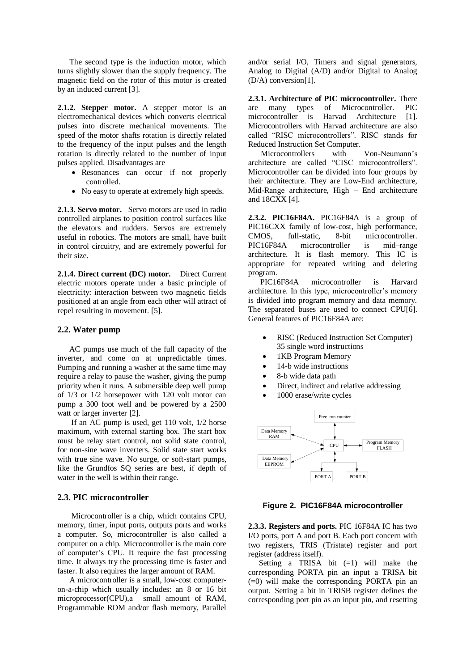The second type is the induction motor, which turns slightly slower than the supply frequency. The magnetic field on the rotor of this motor is created by an induced current [3].

**2.1.2. Stepper motor.** A stepper motor is an electromechanical devices which converts electrical pulses into discrete mechanical movements. The speed of the motor shafts rotation is directly related to the frequency of the input pulses and the length rotation is directly related to the number of input pulses applied. Disadvantages are

- Resonances can occur if not properly controlled.
- No easy to operate at extremely high speeds.

**2.1.3. Servo motor.** Servo motors are used in radio controlled airplanes to position control surfaces like the elevators and rudders. Servos are extremely useful in robotics. The motors are small, have built in control circuitry, and are extremely powerful for their size.

**2.1.4. Direct current (DC) motor.** Direct Current electric motors operate under a basic principle of electricity: interaction between two magnetic fields positioned at an angle from each other will attract of repel resulting in movement. [5].

#### **2.2. Water pump**

 AC pumps use much of the full capacity of the inverter, and come on at unpredictable times. Pumping and running a washer at the same time may require a relay to pause the washer, giving the pump priority when it runs. A submersible deep well pump of 1/3 or 1/2 horsepower with 120 volt motor can pump a 300 foot well and be powered by a 2500 watt or larger inverter [2].

 If an AC pump is used, get 110 volt, 1/2 horse maximum, with external starting box. The start box must be relay start control, not solid state control, for non-sine wave inverters. Solid state start works with true sine wave. No surge, or soft-start pumps, like the [Grundfos SQ](http://www.backwoodssolar.com/catalog/pumps.htm#AC%20SUBMERSIBLE%20WELL%20PUMP) series are best, if depth of water in the well is within their range.

#### **2.3. PIC microcontroller**

Microcontroller is a chip, which contains CPU, memory, timer, input ports, outputs ports and works a computer. So, microcontroller is also called a computer on a chip. Microcontroller is the main core of computer's CPU. It require the fast processing time. It always try the processing time is faster and faster. It also requires the larger amount of RAM.

A microcontroller is a small, low-cost computeron-a-chip which usually includes: an 8 or 16 bit microprocessor(CPU),a small amount of RAM, Programmable ROM and/or flash memory, Parallel and/or serial I/O, Timers and signal generators, Analog to Digital (A/D) and/or Digital to Analog (D/A) conversion[1].

**2.3.1. Architecture of PIC microcontroller.** There are many types of Microcontroller. PIC microcontroller is Harvad Architecture [1]. Microcontrollers with Harvad architecture are also called "RISC microcontrollers". RISC stands for Reduced Instruction Set Computer.

Microcontrollers with Von-Neumann's architecture are called "CISC microcontrollers". Microcontroller can be divided into four groups by their architecture. They are Low-End architecture, Mid-Range architecture, High – End architecture and 18CXX [4].

**2.3.2. PIC16F84A.** PIC16F84A is a group of PIC16CXX family of low-cost, high performance, CMOS, full-static, 8-bit microcontroller. PIC16F84A microcontroller is mid–range architecture. It is flash memory. This IC is appropriate for repeated writing and deleting program.

PIC16F84A microcontroller is Harvard architecture. In this type, microcontroller's memory is divided into program memory and data memory. The separated buses are used to connect CPU[6]. General features of PIC16F84A are:

- RISC (Reduced Instruction Set Computer) 35 single word instructions
- 1KB Program Memory
- 14-b wide instructions
- 8-b wide data path
- Direct, indirect and relative addressing
- 1000 erase/write cycles



#### **Figure 2. PIC16F84A microcontroller**

**2.3.3. Registers and ports.** PIC 16F84A IC has two I/O ports, port A and port B. Each port concern with two registers, TRIS (Tristate) register and port register (address itself).

Setting a TRISA bit  $(=1)$  will make the corresponding PORTA pin an input a TRISA bit (=0) will make the corresponding PORTA pin an output. Setting a bit in TRISB register defines the corresponding port pin as an input pin, and resetting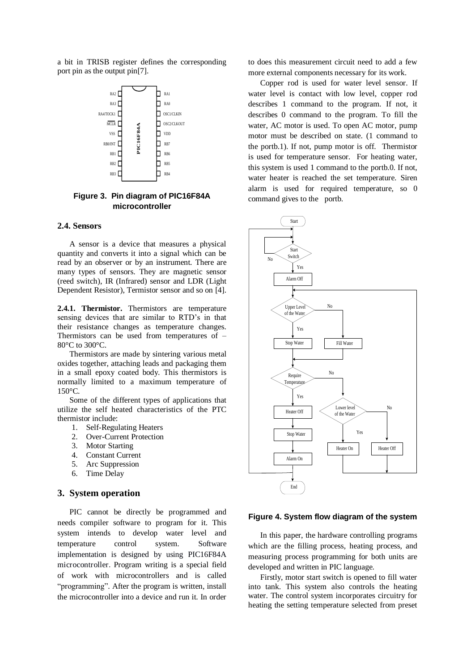a bit in TRISB register defines the corresponding port pin as the output pin[7].



**Figure 3. Pin diagram of PIC16F84A microcontroller**

#### **2.4. Sensors**

A sensor is a device that measures a physical quantity and converts it into a signal which can be read by an observer or by an instrument. There are many types of sensors. They are magnetic sensor (reed switch), IR (Infrared) sensor and LDR (Light Dependent Resistor), Termistor sensor and so on [4].

**2.4.1. Thermistor.** Thermistors are temperature sensing devices that are similar to RTD's in that their resistance changes as temperature changes. Thermistors can be used from temperatures of – 80°C to 300°C.

Thermistors are made by sintering various metal oxides together, attaching leads and packaging them in a small epoxy coated body. This thermistors is normally limited to a maximum temperature of 150°C.

Some of the different types of applications that utilize the self heated characteristics of the PTC thermistor include:

- 1. Self-Regulating Heaters
- 2. Over-Current Protection
- 3. Motor Starting
- 4. Constant Current
- 5. Arc Suppression
- 6. Time Delay

#### **3. System operation**

PIC cannot be directly be programmed and needs compiler software to program for it. This system intends to develop water level and temperature control system. Software implementation is designed by using PIC16F84A microcontroller. Program writing is a special field of work with microcontrollers and is called "programming". After the program is written, install the microcontroller into a device and run it. In order to does this measurement circuit need to add a few more external components necessary for its work.

Copper rod is used for water level sensor. If water level is contact with low level, copper rod describes 1 command to the program. If not, it describes 0 command to the program. To fill the water, AC motor is used. To open AC motor, pump motor must be described on state. (1 command to the portb.1). If not, pump motor is off. Thermistor is used for temperature sensor. For heating water, this system is used 1 command to the portb.0. If not, water heater is reached the set temperature. Siren alarm is used for required temperature, so 0 command gives to the portb.



#### **Figure 4. System flow diagram of the system**

In this paper, the hardware controlling programs which are the filling process, heating process, and measuring process programming for both units are developed and written in PIC language.

Firstly, motor start switch is opened to fill water into tank. This system also controls the heating water. The control system incorporates circuitry for heating the setting temperature selected from preset